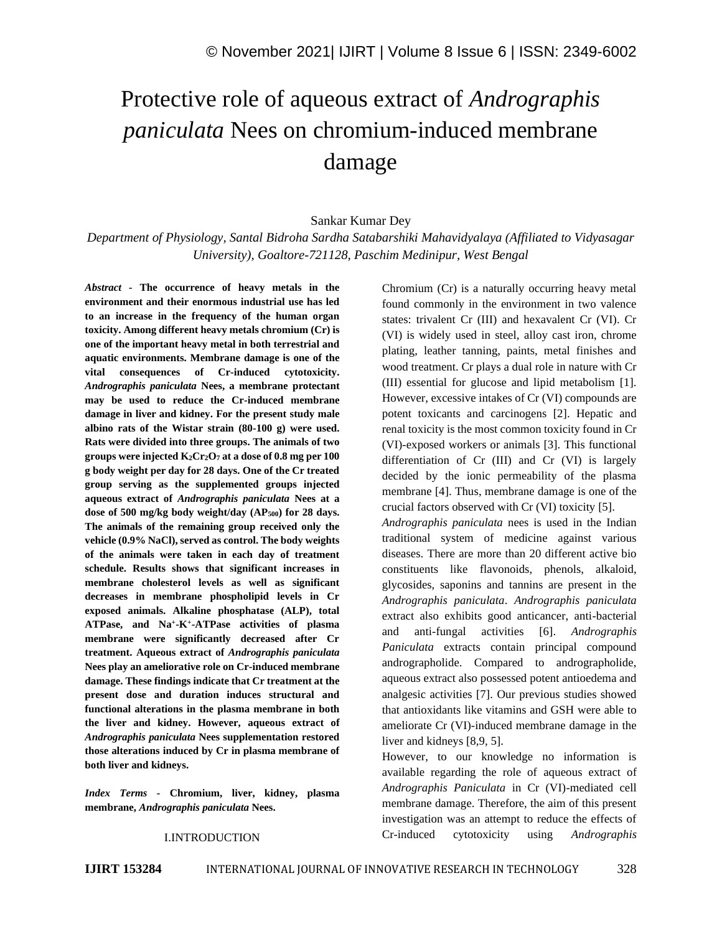# Protective role of aqueous extract of *Andrographis paniculata* Nees on chromium-induced membrane damage

Sankar Kumar Dey

*Department of Physiology, Santal Bidroha Sardha Satabarshiki Mahavidyalaya (Affiliated to Vidyasagar University), Goaltore-721128, Paschim Medinipur, West Bengal* 

*Abstract -* **The occurrence of heavy metals in the environment and their enormous industrial use has led to an increase in the frequency of the human organ toxicity. Among different heavy metals chromium (Cr) is one of the important heavy metal in both terrestrial and aquatic environments. Membrane damage is one of the vital consequences of Cr-induced cytotoxicity.**  *Andrographis paniculata* **Nees, a membrane protectant may be used to reduce the Cr-induced membrane damage in liver and kidney. For the present study male albino rats of the Wistar strain (80-100 g) were used. Rats were divided into three groups. The animals of two groups were injected K2Cr2O<sup>7</sup> at a dose of 0.8 mg per 100 g body weight per day for 28 days. One of the Cr treated group serving as the supplemented groups injected aqueous extract of** *Andrographis paniculata* **Nees at a dose of 500 mg/kg body weight/day (AP500) for 28 days. The animals of the remaining group received only the vehicle (0.9% NaCl), served as control. The body weights of the animals were taken in each day of treatment schedule. Results shows that significant increases in membrane cholesterol levels as well as significant decreases in membrane phospholipid levels in Cr exposed animals. Alkaline phosphatase (ALP), total ATPase, and Na<sup>+</sup> -K<sup>+</sup> -ATPase activities of plasma membrane were significantly decreased after Cr treatment. Aqueous extract of** *Andrographis paniculata* **Nees play an ameliorative role on Cr-induced membrane damage. These findings indicate that Cr treatment at the present dose and duration induces structural and functional alterations in the plasma membrane in both the liver and kidney. However, aqueous extract of**  *Andrographis paniculata* **Nees supplementation restored those alterations induced by Cr in plasma membrane of both liver and kidneys.**

*Index Terms -* **Chromium, liver, kidney, plasma membrane,** *Andrographis paniculata* **Nees.**

#### I.INTRODUCTION

Chromium (Cr) is a naturally occurring heavy metal found commonly in the environment in two valence states: trivalent Cr (III) and hexavalent Cr (VI). Cr (VI) is widely used in steel, alloy cast iron, chrome plating, leather tanning, paints, metal finishes and wood treatment. Cr plays a dual role in nature with Cr (III) essential for glucose and lipid metabolism [1]. However, excessive intakes of Cr (VI) compounds are potent toxicants and carcinogens [2]. Hepatic and renal toxicity is the most common toxicity found in Cr (VI)-exposed workers or animals [3]. This functional differentiation of Cr (III) and Cr (VI) is largely decided by the ionic permeability of the plasma membrane [4]. Thus, membrane damage is one of the crucial factors observed with Cr (VI) toxicity [5]. *Andrographis paniculata* nees is used in the Indian traditional system of medicine against various diseases. There are more than 20 different active bio

constituents like flavonoids, phenols, alkaloid, glycosides, saponins and tannins are present in the *Andrographis paniculata*. *Andrographis paniculata*  extract also exhibits good anticancer, anti-bacterial and anti-fungal activities [6]. *Andrographis Paniculata* extracts contain principal compound andrographolide. Compared to andrographolide, aqueous extract also possessed potent antioedema and analgesic activities [7]. Our previous studies showed that antioxidants like vitamins and GSH were able to ameliorate Cr (VI)-induced membrane damage in the liver and kidneys [8,9, 5].

However, to our knowledge no information is available regarding the role of aqueous extract of *Andrographis Paniculata* in Cr (VI)-mediated cell membrane damage. Therefore, the aim of this present investigation was an attempt to reduce the effects of Cr-induced cytotoxicity using *Andrographis*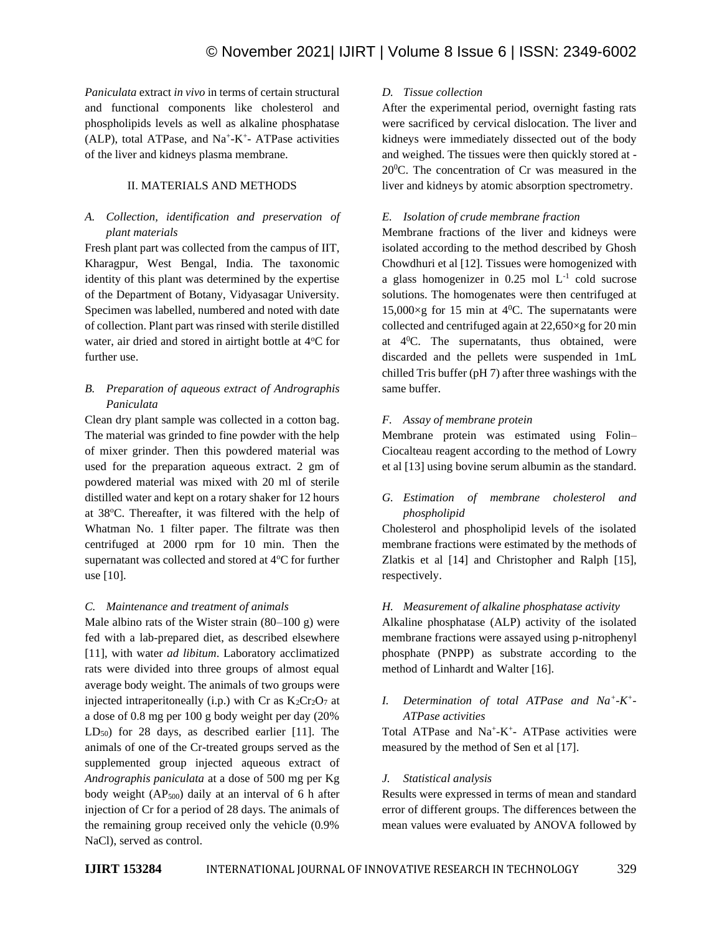*Paniculata* extract *in vivo* in terms of certain structural and functional components like cholesterol and phospholipids levels as well as alkaline phosphatase (ALP), total ATPase, and Na<sup>+</sup>-K<sup>+</sup>- ATPase activities of the liver and kidneys plasma membrane.

## II. MATERIALS AND METHODS

## *A. Collection, identification and preservation of plant materials*

Fresh plant part was collected from the campus of IIT, Kharagpur, West Bengal, India. The taxonomic identity of this plant was determined by the expertise of the Department of Botany, Vidyasagar University. Specimen was labelled, numbered and noted with date of collection. Plant part was rinsed with sterile distilled water, air dried and stored in airtight bottle at 4°C for further use.

# *B. Preparation of aqueous extract of Andrographis Paniculata*

Clean dry plant sample was collected in a cotton bag. The material was grinded to fine powder with the help of mixer grinder. Then this powdered material was used for the preparation aqueous extract. 2 gm of powdered material was mixed with 20 ml of sterile distilled water and kept on a rotary shaker for 12 hours at 38<sup>o</sup>C. Thereafter, it was filtered with the help of Whatman No. 1 filter paper. The filtrate was then centrifuged at 2000 rpm for 10 min. Then the supernatant was collected and stored at  $4^{\circ}$ C for further use [10].

## *C. Maintenance and treatment of animals*

Male albino rats of the Wister strain  $(80-100 \text{ g})$  were fed with a lab-prepared diet, as described elsewhere [11], with water *ad libitum*. Laboratory acclimatized rats were divided into three groups of almost equal average body weight. The animals of two groups were injected intraperitoneally (i.p.) with Cr as  $K_2Cr_2O_7$  at a dose of 0.8 mg per 100 g body weight per day (20%  $LD_{50}$ ) for 28 days, as described earlier [11]. The animals of one of the Cr-treated groups served as the supplemented group injected aqueous extract of *Andrographis paniculata* at a dose of 500 mg per Kg body weight  $AP_{500}$  daily at an interval of 6 h after injection of Cr for a period of 28 days. The animals of the remaining group received only the vehicle (0.9% NaCl), served as control.

## *D. Tissue collection*

After the experimental period, overnight fasting rats were sacrificed by cervical dislocation. The liver and kidneys were immediately dissected out of the body and weighed. The tissues were then quickly stored at - 20<sup>0</sup>C. The concentration of Cr was measured in the liver and kidneys by atomic absorption spectrometry.

# *E. Isolation of crude membrane fraction*

Membrane fractions of the liver and kidneys were isolated according to the method described by Ghosh Chowdhuri et al [12]. Tissues were homogenized with a glass homogenizer in  $0.25$  mol  $L^{-1}$  cold sucrose solutions. The homogenates were then centrifuged at 15,000 $\times$ g for 15 min at 4<sup>0</sup>C. The supernatants were collected and centrifuged again at  $22,650\times g$  for 20 min at  $4^{\circ}$ C. The supernatants, thus obtained, were discarded and the pellets were suspended in 1mL chilled Tris buffer (pH 7) after three washings with the same buffer.

## *F. Assay of membrane protein*

Membrane protein was estimated using Folin– Ciocalteau reagent according to the method of Lowry et al [13] using bovine serum albumin as the standard.

# *G. Estimation of membrane cholesterol and phospholipid*

Cholesterol and phospholipid levels of the isolated membrane fractions were estimated by the methods of Zlatkis et al [14] and Christopher and Ralph [15], respectively.

## *H. Measurement of alkaline phosphatase activity*

Alkaline phosphatase (ALP) activity of the isolated membrane fractions were assayed using p-nitrophenyl phosphate (PNPP) as substrate according to the method of Linhardt and Walter [16].

# *I. Determination of total ATPase and Na<sup>+</sup> -K + - ATPase activities*

Total ATPase and Na<sup>+</sup>-K<sup>+</sup>- ATPase activities were measured by the method of Sen et al [17].

## *J. Statistical analysis*

Results were expressed in terms of mean and standard error of different groups. The differences between the mean values were evaluated by ANOVA followed by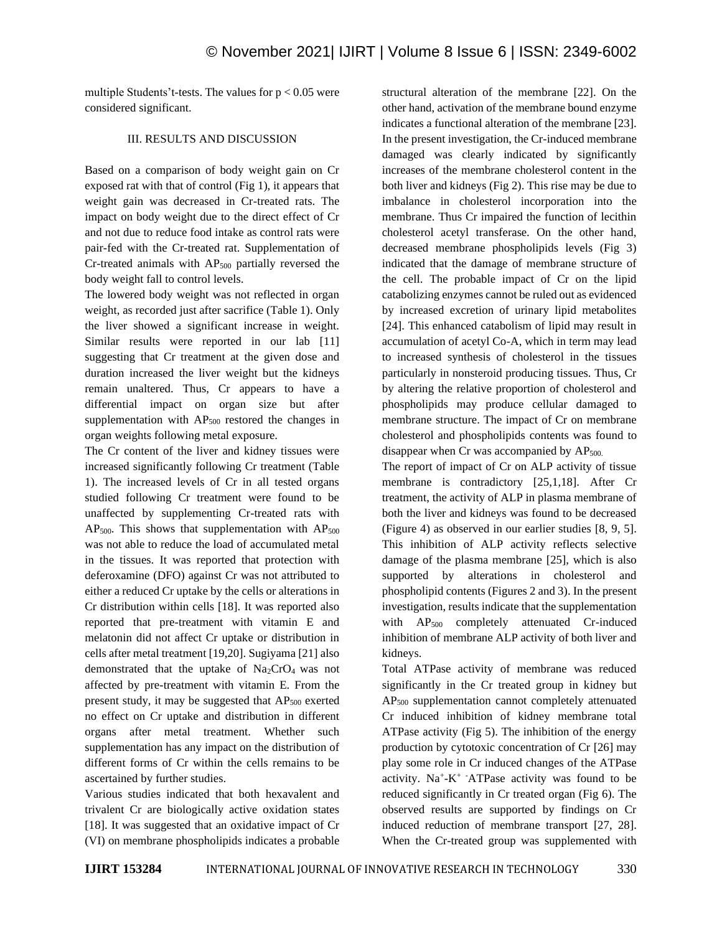multiple Students't-tests. The values for  $p < 0.05$  were considered significant.

## III. RESULTS AND DISCUSSION

Based on a comparison of body weight gain on Cr exposed rat with that of control (Fig 1), it appears that weight gain was decreased in Cr-treated rats. The impact on body weight due to the direct effect of Cr and not due to reduce food intake as control rats were pair-fed with the Cr-treated rat. Supplementation of Cr-treated animals with AP<sup>500</sup> partially reversed the body weight fall to control levels.

The lowered body weight was not reflected in organ weight, as recorded just after sacrifice (Table 1). Only the liver showed a significant increase in weight. Similar results were reported in our lab [11] suggesting that Cr treatment at the given dose and duration increased the liver weight but the kidneys remain unaltered. Thus, Cr appears to have a differential impact on organ size but after supplementation with  $AP<sub>500</sub>$  restored the changes in organ weights following metal exposure.

The Cr content of the liver and kidney tissues were increased significantly following Cr treatment (Table 1). The increased levels of Cr in all tested organs studied following Cr treatment were found to be unaffected by supplementing Cr-treated rats with  $AP_{500}$ . This shows that supplementation with  $AP_{500}$ was not able to reduce the load of accumulated metal in the tissues. It was reported that protection with deferoxamine (DFO) against Cr was not attributed to either a reduced Cr uptake by the cells or alterations in Cr distribution within cells [18]. It was reported also reported that pre-treatment with vitamin E and melatonin did not affect Cr uptake or distribution in cells after metal treatment [19,20]. Sugiyama [21] also demonstrated that the uptake of  $Na<sub>2</sub>CrO<sub>4</sub>$  was not affected by pre-treatment with vitamin E. From the present study, it may be suggested that AP<sub>500</sub> exerted no effect on Cr uptake and distribution in different organs after metal treatment. Whether such supplementation has any impact on the distribution of different forms of Cr within the cells remains to be ascertained by further studies.

Various studies indicated that both hexavalent and trivalent Cr are biologically active oxidation states [18]. It was suggested that an oxidative impact of Cr (VI) on membrane phospholipids indicates a probable structural alteration of the membrane [22]. On the other hand, activation of the membrane bound enzyme indicates a functional alteration of the membrane [23]. In the present investigation, the Cr-induced membrane damaged was clearly indicated by significantly increases of the membrane cholesterol content in the both liver and kidneys (Fig 2). This rise may be due to imbalance in cholesterol incorporation into the membrane. Thus Cr impaired the function of lecithin cholesterol acetyl transferase. On the other hand, decreased membrane phospholipids levels (Fig 3) indicated that the damage of membrane structure of the cell. The probable impact of Cr on the lipid catabolizing enzymes cannot be ruled out as evidenced by increased excretion of urinary lipid metabolites [24]. This enhanced catabolism of lipid may result in accumulation of acetyl Co-A, which in term may lead to increased synthesis of cholesterol in the tissues particularly in nonsteroid producing tissues. Thus, Cr by altering the relative proportion of cholesterol and phospholipids may produce cellular damaged to membrane structure. The impact of Cr on membrane cholesterol and phospholipids contents was found to disappear when Cr was accompanied by  $AP_{500}$ .

The report of impact of Cr on ALP activity of tissue membrane is contradictory [25,1,18]. After Cr treatment, the activity of ALP in plasma membrane of both the liver and kidneys was found to be decreased (Figure 4) as observed in our earlier studies [8, 9, 5]. This inhibition of ALP activity reflects selective damage of the plasma membrane [25], which is also supported by alterations in cholesterol and phospholipid contents (Figures 2 and 3). In the present investigation, results indicate that the supplementation with AP<sub>500</sub> completely attenuated Cr-induced inhibition of membrane ALP activity of both liver and kidneys.

Total ATPase activity of membrane was reduced significantly in the Cr treated group in kidney but AP<sup>500</sup> supplementation cannot completely attenuated Cr induced inhibition of kidney membrane total ATPase activity (Fig 5). The inhibition of the energy production by cytotoxic concentration of Cr [26] may play some role in Cr induced changes of the ATPase activity.  $Na^+ - K^+$  -ATPase activity was found to be reduced significantly in Cr treated organ (Fig 6). The observed results are supported by findings on Cr induced reduction of membrane transport [27, 28]. When the Cr-treated group was supplemented with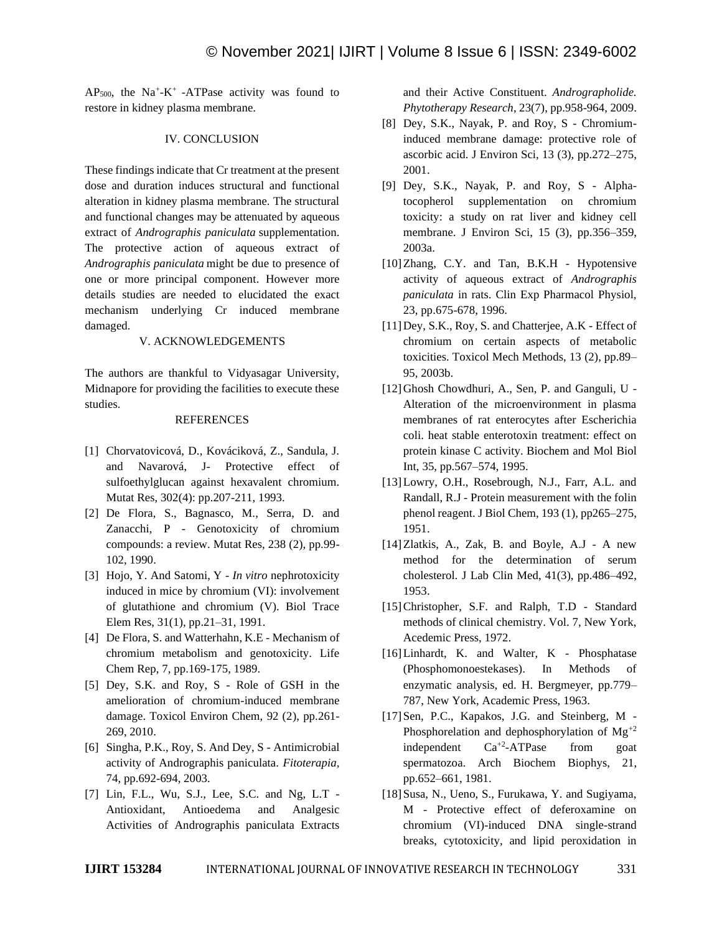$AP<sub>500</sub>$ , the Na<sup>+</sup>-K<sup>+</sup> -ATPase activity was found to restore in kidney plasma membrane.

#### IV. CONCLUSION

These findings indicate that Cr treatment at the present dose and duration induces structural and functional alteration in kidney plasma membrane. The structural and functional changes may be attenuated by aqueous extract of *Andrographis paniculata* supplementation. The protective action of aqueous extract of *Andrographis paniculata* might be due to presence of one or more principal component. However more details studies are needed to elucidated the exact mechanism underlying Cr induced membrane damaged.

#### V. ACKNOWLEDGEMENTS

The authors are thankful to Vidyasagar University, Midnapore for providing the facilities to execute these studies.

#### REFERENCES

- [1] Chorvatovicová, D., Kováciková, Z., Sandula, J. and Navarová, J- Protective effect of sulfoethylglucan against hexavalent chromium. Mutat Res, 302(4): pp.207-211, 1993.
- [2] De Flora, S., Bagnasco, M., Serra, D. and Zanacchi, P - Genotoxicity of chromium compounds: a review. Mutat Res, 238 (2), pp.99- 102, 1990.
- [3] Hojo, Y. And Satomi, Y *In vitro* nephrotoxicity induced in mice by chromium (VI): involvement of glutathione and chromium (V). Biol Trace Elem Res, 31(1), pp.21–31, 1991.
- [4] De Flora, S. and Watterhahn, K.E Mechanism of chromium metabolism and genotoxicity. Life Chem Rep, 7, pp.169-175, 1989.
- [5] Dey, S.K. and Roy, S Role of GSH in the amelioration of chromium-induced membrane damage. Toxicol Environ Chem, 92 (2), pp.261- 269, 2010.
- [6] Singha, P.K., Roy, S. And Dey, S Antimicrobial activity of Andrographis paniculata. *Fitoterapia,*  74, pp.692-694, 2003.
- [7] Lin, F.L., Wu, S.J., Lee, S.C. and Ng, L.T Antioxidant, Antioedema and Analgesic Activities of Andrographis paniculata Extracts

and their Active Constituent. *Andrographolide. Phytotherapy Research*, 23(7), pp.958-964, 2009.

- [8] Dey, S.K., Nayak, P. and Roy, S Chromiuminduced membrane damage: protective role of ascorbic acid. J Environ Sci, 13 (3), pp.272–275, 2001.
- [9] Dey, S.K., Nayak, P. and Roy, S Alphatocopherol supplementation on chromium toxicity: a study on rat liver and kidney cell membrane. J Environ Sci, 15 (3), pp.356–359, 2003a.
- [10]Zhang, C.Y. and Tan, B.K.H Hypotensive activity of aqueous extract of *Andrographis paniculata* in rats. Clin Exp Pharmacol Physiol, 23, pp.675-678, 1996.
- [11]Dey, S.K., Roy, S. and Chatterjee, A.K Effect of chromium on certain aspects of metabolic toxicities. Toxicol Mech Methods, 13 (2), pp.89– 95, 2003b.
- [12]Ghosh Chowdhuri, A., Sen, P. and Ganguli, U Alteration of the microenvironment in plasma membranes of rat enterocytes after Escherichia coli. heat stable enterotoxin treatment: effect on protein kinase C activity. Biochem and Mol Biol Int, 35, pp.567–574, 1995.
- [13] Lowry, O.H., Rosebrough, N.J., Farr, A.L. and Randall, R.J - Protein measurement with the folin phenol reagent. J Biol Chem, 193 (1), pp265–275, 1951.
- [14] Zlatkis, A., Zak, B. and Boyle, A.J A new method for the determination of serum cholesterol*.* J Lab Clin Med, 41(3), pp.486–492, 1953.
- [15]Christopher, S.F. and Ralph, T.D Standard methods of clinical chemistry. Vol. 7, New York, Acedemic Press, 1972.
- [16] Linhardt, K. and Walter, K Phosphatase (Phosphomonoestekases). In Methods of enzymatic analysis, ed. H. Bergmeyer, pp.779– 787, New York, Academic Press, 1963.
- [17] Sen, P.C., Kapakos, J.G. and Steinberg, M -Phosphorelation and dephosphorylation of  $Mg^{+2}$ independent  $Ca^{+2}-ATPase$  from goat spermatozoa. Arch Biochem Biophys, 21, pp.652–661, 1981.
- [18] Susa, N., Ueno, S., Furukawa, Y. and Sugiyama, M - Protective effect of deferoxamine on chromium (VI)-induced DNA single-strand breaks, cytotoxicity, and lipid peroxidation in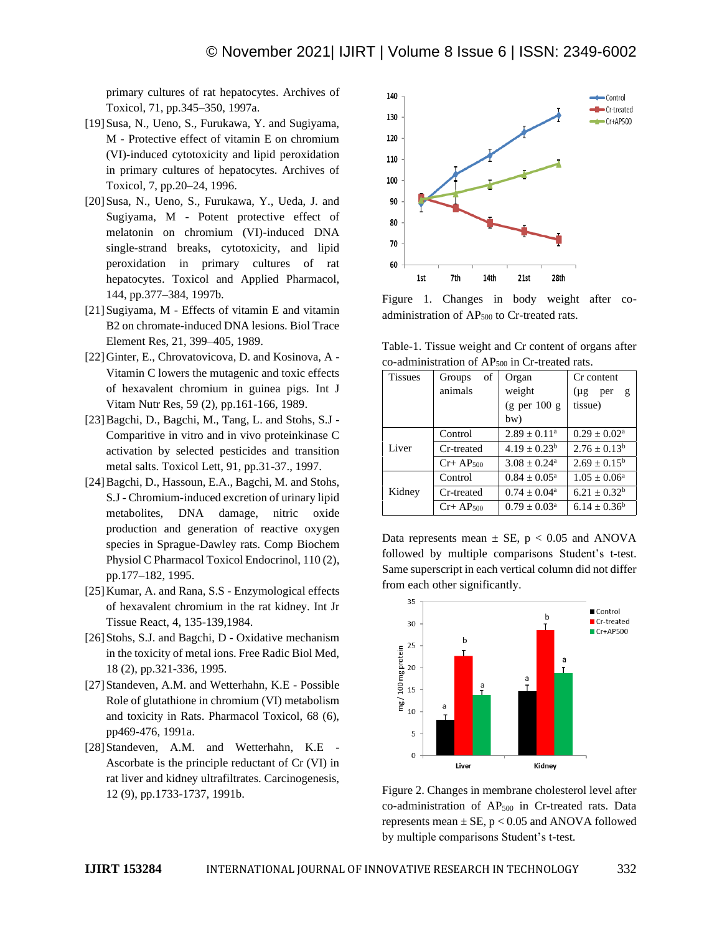primary cultures of rat hepatocytes. Archives of Toxicol, 71, pp.345–350, 1997a.

- [19]Susa, N., Ueno, S., Furukawa, Y. and Sugiyama, M - Protective effect of vitamin E on chromium (VI)-induced cytotoxicity and lipid peroxidation in primary cultures of hepatocytes. Archives of Toxicol, 7, pp.20–24, 1996.
- [20]Susa, N., Ueno, S., Furukawa, Y., Ueda, J. and Sugiyama, M - Potent protective effect of melatonin on chromium (VI)-induced DNA single-strand breaks, cytotoxicity, and lipid peroxidation in primary cultures of rat hepatocytes. Toxicol and Applied Pharmacol, 144, pp.377–384, 1997b.
- [21] Sugiyama, M Effects of vitamin E and vitamin B2 on chromate-induced DNA lesions. Biol Trace Element Res, 21, 399–405, 1989.
- [22]Ginter, E., Chrovatovicova, D. and Kosinova, A Vitamin C lowers the mutagenic and toxic effects of hexavalent chromium in guinea pigs. Int J Vitam Nutr Res, 59 (2), pp.161-166, 1989.
- [23] Bagchi, D., Bagchi, M., Tang, L. and Stohs, S.J -Comparitive in vitro and in vivo proteinkinase C activation by selected pesticides and transition metal salts. Toxicol Lett, 91, pp.31-37., 1997.
- [24]Bagchi, D., Hassoun, E.A., Bagchi, M. and Stohs, S.J - Chromium-induced excretion of urinary lipid metabolites, DNA damage, nitric oxide production and generation of reactive oxygen species in Sprague-Dawley rats. Comp Biochem Physiol C Pharmacol Toxicol Endocrinol, 110 (2), pp.177–182, 1995.
- [25]Kumar, A. and Rana, S.S Enzymological effects of hexavalent chromium in the rat kidney. Int Jr Tissue React, 4, 135-139,1984.
- [26] Stohs, S.J. and Bagchi, D Oxidative mechanism in the toxicity of metal ions. Free Radic Biol Med, 18 (2), pp.321-336, 1995.
- [27] Standeven, A.M. and Wetterhahn, K.E Possible Role of glutathione in chromium (VI) metabolism and toxicity in Rats. Pharmacol Toxicol, 68 (6), pp469-476, 1991a.
- [28] Standeven, A.M. and Wetterhahn, K.E -Ascorbate is the principle reductant of Cr (VI) in rat liver and kidney ultrafiltrates. Carcinogenesis, 12 (9), pp.1733-1737, 1991b.



Figure 1. Changes in body weight after coadministration of  $AP_{500}$  to Cr-treated rats.

Table-1. Tissue weight and Cr content of organs after co-administration of AP<sub>500</sub> in Cr-treated rats.

| <b>Tissues</b> | οf<br>Groups  | Organ                           | Cr content                      |
|----------------|---------------|---------------------------------|---------------------------------|
|                | animals       | weight                          | $(\mu g$<br>per<br>$\mathbf{g}$ |
|                |               | $(g \text{per } 100 \text{ g})$ | tissue)                         |
|                |               | bw)                             |                                 |
| Liver          | Control       | $2.89 + 0.11^a$                 | $0.29 \pm 0.02^a$               |
|                | Cr-treated    | $4.19 + 0.23^b$                 | $2.76 + 0.13^b$                 |
|                | $Cr+AP500$    | $3.08 + 0.24$ <sup>a</sup>      | $2.69 \pm 0.15^{\rm b}$         |
| Kidney         | Control       | $0.84 + 0.05^{\circ}$           | $1.05 \pm 0.06^{\rm a}$         |
|                | Cr-treated    | $0.74 + 0.04^a$                 | $6.21 \pm 0.32^b$               |
|                | $Cr+AP_{500}$ | $0.79 + 0.03^{\circ}$           | $6.14 + 0.36^b$                 |

Data represents mean  $\pm$  SE, p < 0.05 and ANOVA followed by multiple comparisons Student's t-test. Same superscript in each vertical column did not differ from each other significantly.



Figure 2. Changes in membrane cholesterol level after co-administration of  $AP_{500}$  in Cr-treated rats. Data represents mean  $\pm$  SE, p < 0.05 and ANOVA followed by multiple comparisons Student's t-test.